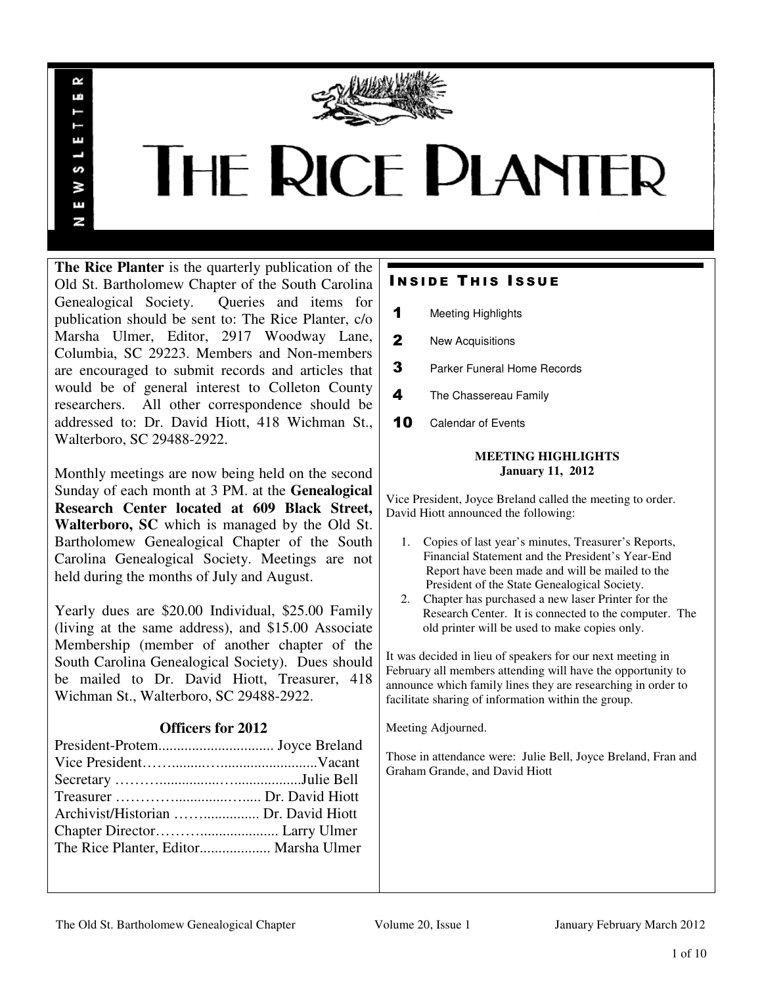

# **THE RICE PLANTER**

**The Rice Planter** is the quarterly publication of the Old St. Bartholomew Chapter of the South Carolina Genealogical Society. Queries and items for publication should be sent to: The Rice Planter, c/o Marsha Ulmer, Editor, 2917 Woodway Lane, Columbia, SC 29223. Members and Non-members are encouraged to submit records and articles that would be of general interest to Colleton County researchers. All other correspondence should be addressed to: Dr. David Hiott, 418 Wichman St., Walterboro, SC 29488-2922.

 $\sim$ uń

ш

S š E N

Monthly meetings are now being held on the second Sunday of each month at 3 PM. at the **Genealogical Research Center located at 609 Black Street, Walterboro, SC** which is managed by the Old St. Bartholomew Genealogical Chapter of the South Carolina Genealogical Society. Meetings are not held during the months of July and August.

Yearly dues are \$20.00 Individual, \$25.00 Family (living at the same address), and \$15.00 Associate Membership (member of another chapter of the South Carolina Genealogical Society). Dues should be mailed to Dr. David Hiott, Treasurer, 418 Wichman St., Walterboro, SC 29488-2922.

# **Officers for 2012**

| Archivist/Historian  Dr. David Hiott |  |
|--------------------------------------|--|
|                                      |  |
|                                      |  |

# **INSIDE THIS ISSUE**

- 1 Meeting Highlights
- 2 New Acquisitions
- **3** Parker Funeral Home Records
- 4 The Chassereau Family
- 10 Calendar of Events

# **MEETING HIGHLIGHTS January 11, 2012**

Vice President, Joyce Breland called the meeting to order. David Hiott announced the following:

- 1. Copies of last year's minutes, Treasurer's Reports, Financial Statement and the President's Year-End Report have been made and will be mailed to the President of the State Genealogical Society.
- 2. Chapter has purchased a new laser Printer for the Research Center. It is connected to the computer. The old printer will be used to make copies only.

It was decided in lieu of speakers for our next meeting in February all members attending will have the opportunity to announce which family lines they are researching in order to facilitate sharing of information within the group.

Meeting Adjourned.

Those in attendance were: Julie Bell, Joyce Breland, Fran and Graham Grande, and David Hiott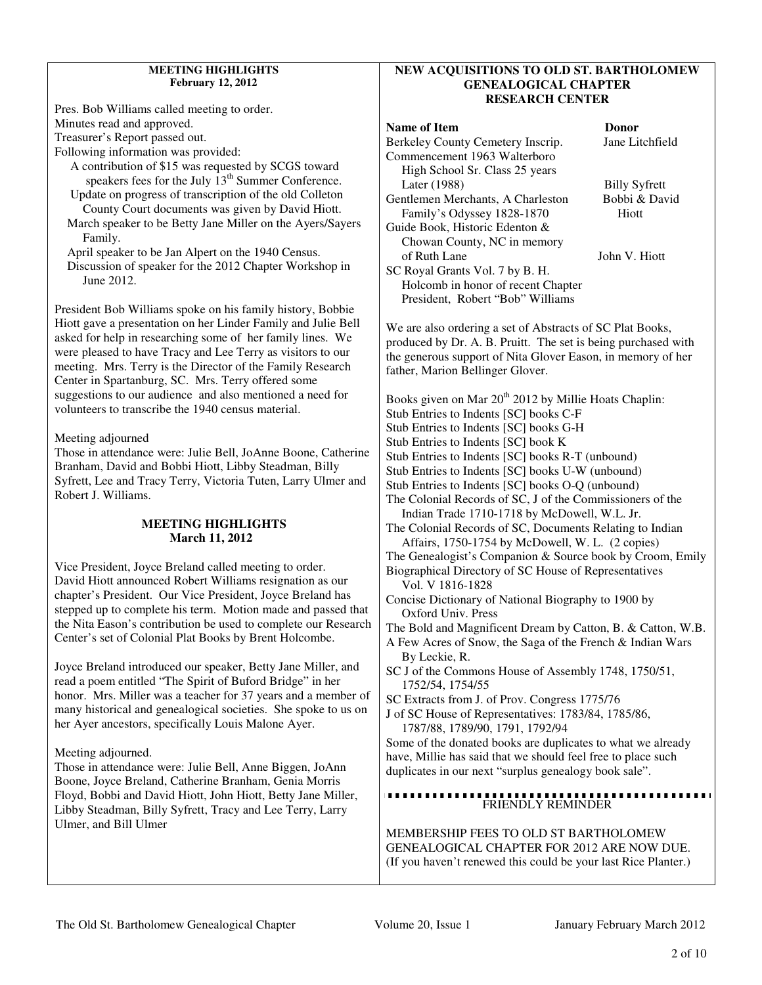# **MEETING HIGHLIGHTS February 12, 2012**

Pres. Bob Williams called meeting to order. Minutes read and approved. Treasurer's Report passed out. Following information was provided:

 A contribution of \$15 was requested by SCGS toward speakers fees for the July  $13<sup>th</sup>$  Summer Conference. Update on progress of transcription of the old Colleton

 County Court documents was given by David Hiott. March speaker to be Betty Jane Miller on the Ayers/Sayers

 Family. April speaker to be Jan Alpert on the 1940 Census.

 Discussion of speaker for the 2012 Chapter Workshop in June 2012.

President Bob Williams spoke on his family history, Bobbie Hiott gave a presentation on her Linder Family and Julie Bell asked for help in researching some of her family lines. We were pleased to have Tracy and Lee Terry as visitors to our meeting. Mrs. Terry is the Director of the Family Research Center in Spartanburg, SC. Mrs. Terry offered some suggestions to our audience and also mentioned a need for volunteers to transcribe the 1940 census material.

Meeting adjourned

Those in attendance were: Julie Bell, JoAnne Boone, Catherine Branham, David and Bobbi Hiott, Libby Steadman, Billy Syfrett, Lee and Tracy Terry, Victoria Tuten, Larry Ulmer and Robert J. Williams.

# **MEETING HIGHLIGHTS March 11, 2012**

Vice President, Joyce Breland called meeting to order. David Hiott announced Robert Williams resignation as our chapter's President. Our Vice President, Joyce Breland has stepped up to complete his term. Motion made and passed that the Nita Eason's contribution be used to complete our Research Center's set of Colonial Plat Books by Brent Holcombe.

Joyce Breland introduced our speaker, Betty Jane Miller, and read a poem entitled "The Spirit of Buford Bridge" in her honor. Mrs. Miller was a teacher for 37 years and a member of many historical and genealogical societies. She spoke to us on her Ayer ancestors, specifically Louis Malone Ayer.

Meeting adjourned.

Those in attendance were: Julie Bell, Anne Biggen, JoAnn Boone, Joyce Breland, Catherine Branham, Genia Morris Floyd, Bobbi and David Hiott, John Hiott, Betty Jane Miller, Libby Steadman, Billy Syfrett, Tracy and Lee Terry, Larry Ulmer, and Bill Ulmer

# **NEW ACQUISITIONS TO OLD ST. BARTHOLOMEW GENEALOGICAL CHAPTER RESEARCH CENTER**

# **Name of Item Donor CONSUMER**

Berkeley County Cemetery Inscrip. Jane Litchfield Commencement 1963 Walterboro High School Sr. Class 25 years Later (1988) Billy Syfrett<br>
ntlemen Merchants, A Charleston Bobbi & David Gentlemen Merchants, A Charleston Family's Odyssey 1828-1870 Hiott Guide Book, Historic Edenton & Chowan County, NC in memory

of Ruth Lane John V. Hiott SC Royal Grants Vol. 7 by B. H.

 Holcomb in honor of recent Chapter President, Robert "Bob" Williams

We are also ordering a set of Abstracts of SC Plat Books, produced by Dr. A. B. Pruitt. The set is being purchased with the generous support of Nita Glover Eason, in memory of her father, Marion Bellinger Glover.

Books given on Mar 20<sup>th</sup> 2012 by Millie Hoats Chaplin: Stub Entries to Indents [SC] books C-F Stub Entries to Indents [SC] books G-H Stub Entries to Indents [SC] book K Stub Entries to Indents [SC] books R-T (unbound) Stub Entries to Indents [SC] books U-W (unbound) Stub Entries to Indents [SC] books O-Q (unbound) The Colonial Records of SC, J of the Commissioners of the Indian Trade 1710-1718 by McDowell, W.L. Jr. The Colonial Records of SC, Documents Relating to Indian Affairs, 1750-1754 by McDowell, W. L. (2 copies) The Genealogist's Companion & Source book by Croom, Emily Biographical Directory of SC House of Representatives Vol. V 1816-1828 Concise Dictionary of National Biography to 1900 by Oxford Univ. Press The Bold and Magnificent Dream by Catton, B. & Catton, W.B. A Few Acres of Snow, the Saga of the French & Indian Wars By Leckie, R. SC J of the Commons House of Assembly 1748, 1750/51, 1752/54, 1754/55 SC Extracts from J. of Prov. Congress 1775/76 J of SC House of Representatives: 1783/84, 1785/86, 1787/88, 1789/90, 1791, 1792/94 Some of the donated books are duplicates to what we already have, Millie has said that we should feel free to place such duplicates in our next "surplus genealogy book sale". ............ FRIENDLY REMINDER MEMBERSHIP FEES TO OLD ST BARTHOLOMEW GENEALOGICAL CHAPTER FOR 2012 ARE NOW DUE.

(If you haven't renewed this could be your last Rice Planter.)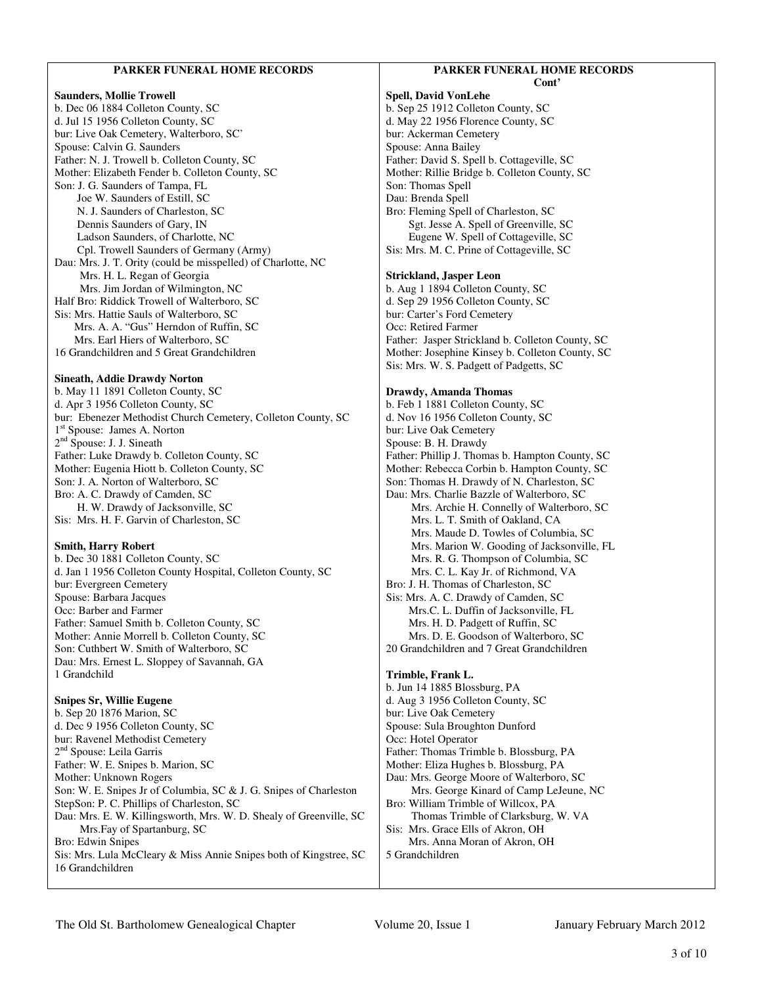### **PARKER FUNERAL HOME RECORDS Saunders, Mollie Trowell**  b. Dec 06 1884 Colleton County, SC d. Jul 15 1956 Colleton County, SC bur: Live Oak Cemetery, Walterboro, SC' Spouse: Calvin G. Saunders Father: N. J. Trowell b. Colleton County, SC Mother: Elizabeth Fender b. Colleton County, SC Son: J. G. Saunders of Tampa, FL Joe W. Saunders of Estill, SC N. J. Saunders of Charleston, SC Dennis Saunders of Gary, IN Ladson Saunders, of Charlotte, NC Cpl. Trowell Saunders of Germany (Army) Dau: Mrs. J. T. Ority (could be misspelled) of Charlotte, NC Mrs. H. L. Regan of Georgia Mrs. Jim Jordan of Wilmington, NC Half Bro: Riddick Trowell of Walterboro, SC Sis: Mrs. Hattie Sauls of Walterboro, SC Mrs. A. A. "Gus" Herndon of Ruffin, SC Mrs. Earl Hiers of Walterboro, SC 16 Grandchildren and 5 Great Grandchildren **Sineath, Addie Drawdy Norton**  b. May 11 1891 Colleton County, SC d. Apr 3 1956 Colleton County, SC bur: Ebenezer Methodist Church Cemetery, Colleton County, SC 1 st Spouse: James A. Norton 2<sup>nd</sup> Spouse: J. J. Sineath Father: Luke Drawdy b. Colleton County, SC Mother: Eugenia Hiott b. Colleton County, SC Son: J. A. Norton of Walterboro, SC Bro: A. C. Drawdy of Camden, SC H. W. Drawdy of Jacksonville, SC Sis: Mrs. H. F. Garvin of Charleston, SC **Smith, Harry Robert**  b. Dec 30 1881 Colleton County, SC d. Jan 1 1956 Colleton County Hospital, Colleton County, SC bur: Evergreen Cemetery Spouse: Barbara Jacques Occ: Barber and Farmer Father: Samuel Smith b. Colleton County, SC Mother: Annie Morrell b. Colleton County, SC Son: Cuthbert W. Smith of Walterboro, SC Dau: Mrs. Ernest L. Sloppey of Savannah, GA 1 Grandchild **Snipes Sr, Willie Eugene**  b. Sep 20 1876 Marion, SC d. Dec 9 1956 Colleton County, SC bur: Ravenel Methodist Cemetery 2<sup>nd</sup> Spouse: Leila Garris Father: W. E. Snipes b. Marion, SC Mother: Unknown Rogers Son: W. E. Snipes Jr of Columbia, SC & J. G. Snipes of Charleston StepSon: P. C. Phillips of Charleston, SC Dau: Mrs. E. W. Killingsworth, Mrs. W. D. Shealy of Greenville, SC Mrs.Fay of Spartanburg, SC Bro: Edwin Snipes Sis: Mrs. Lula McCleary & Miss Annie Snipes both of Kingstree, SC 16 Grandchildren **PARKER FUNERAL HOME RECORDS Cont' Spell, David VonLehe**  b. Sep 25 1912 Colleton County, SC d. May 22 1956 Florence County, SC bur: Ackerman Cemetery Spouse: Anna Bailey Father: David S. Spell b. Cottageville, SC Mother: Rillie Bridge b. Colleton County, SC Son: Thomas Spell Dau: Brenda Spell Bro: Fleming Spell of Charleston, SC Sgt. Jesse A. Spell of Greenville, SC Eugene W. Spell of Cottageville, SC Sis: Mrs. M. C. Prine of Cottageville, SC **Strickland, Jasper Leon**  b. Aug 1 1894 Colleton County, SC d. Sep 29 1956 Colleton County, SC bur: Carter's Ford Cemetery Occ: Retired Farmer Father: Jasper Strickland b. Colleton County, SC Mother: Josephine Kinsey b. Colleton County, SC Sis: Mrs. W. S. Padgett of Padgetts, SC **Drawdy, Amanda Thomas**  b. Feb 1 1881 Colleton County, SC d. Nov 16 1956 Colleton County, SC bur: Live Oak Cemetery Spouse: B. H. Drawdy Father: Phillip J. Thomas b. Hampton County, SC Mother: Rebecca Corbin b. Hampton County, SC Son: Thomas H. Drawdy of N. Charleston, SC Dau: Mrs. Charlie Bazzle of Walterboro, SC Mrs. Archie H. Connelly of Walterboro, SC Mrs. L. T. Smith of Oakland, CA Mrs. Maude D. Towles of Columbia, SC Mrs. Marion W. Gooding of Jacksonville, FL Mrs. R. G. Thompson of Columbia, SC Mrs. C. L. Kay Jr. of Richmond, VA Bro: J. H. Thomas of Charleston, SC Sis: Mrs. A. C. Drawdy of Camden, SC Mrs.C. L. Duffin of Jacksonville, FL Mrs. H. D. Padgett of Ruffin, SC Mrs. D. E. Goodson of Walterboro, SC 20 Grandchildren and 7 Great Grandchildren **Trimble, Frank L.**  b. Jun 14 1885 Blossburg, PA d. Aug 3 1956 Colleton County, SC bur: Live Oak Cemetery Spouse: Sula Broughton Dunford Occ: Hotel Operator Father: Thomas Trimble b. Blossburg, PA Mother: Eliza Hughes b. Blossburg, PA Dau: Mrs. George Moore of Walterboro, SC Mrs. George Kinard of Camp LeJeune, NC Bro: William Trimble of Willcox, PA Thomas Trimble of Clarksburg, W. VA Sis: Mrs. Grace Ells of Akron, OH Mrs. Anna Moran of Akron, OH 5 Grandchildren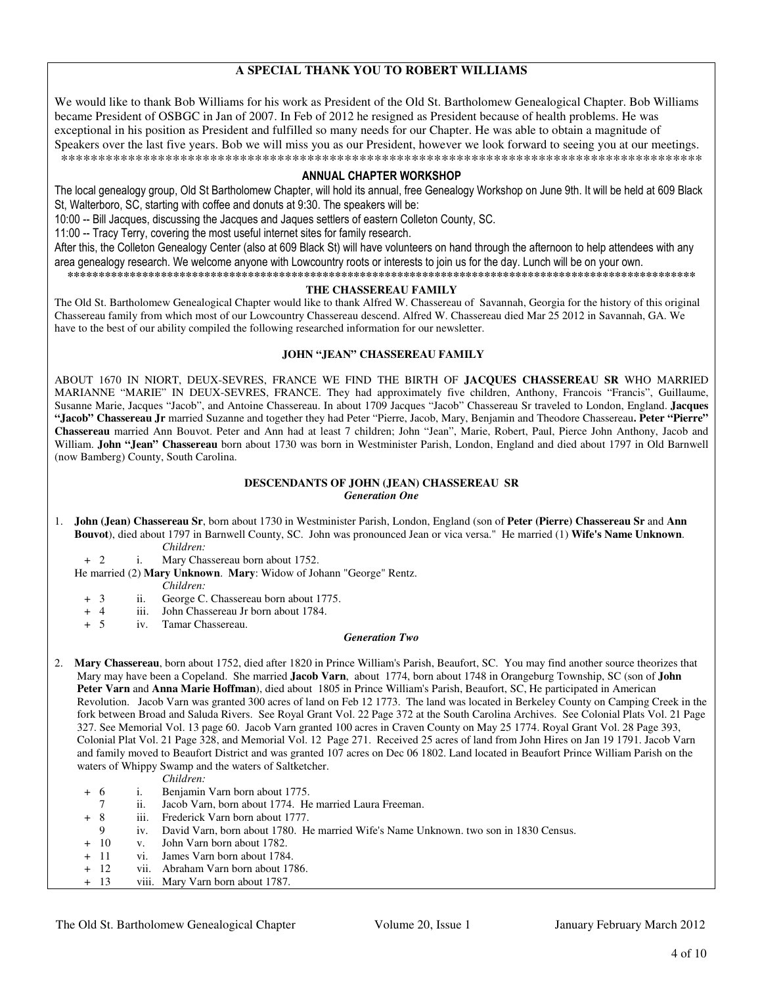# **A SPECIAL THANK YOU TO ROBERT WILLIAMS**

We would like to thank Bob Williams for his work as President of the Old St. Bartholomew Genealogical Chapter. Bob Williams became President of OSBGC in Jan of 2007. In Feb of 2012 he resigned as President because of health problems. He was exceptional in his position as President and fulfilled so many needs for our Chapter. He was able to obtain a magnitude of Speakers over the last five years. Bob we will miss you as our President, however we look forward to seeing you at our meetings. \*\*\*\*\*\*\*\*\*\*\*\*\*\*\*\*\*\*\*\*\*\*\*\*\*\*\*\*\*\*\*\*\*\*\*\*\*\*\*\*\*\*\*\*\*\*\*\*\*\*\*\*\*\*\*\*\*\*\*\*\*\*\*\*\*\*\*\*\*\*\*\*\*\*\*\*\*\*\*\*\*\*\*\*\*\*

### ANNUAL CHAPTER WORKSHOP

The local genealogy group, Old St Bartholomew Chapter, will hold its annual, free Genealogy Workshop on June 9th. It will be held at 609 Black St, Walterboro, SC, starting with coffee and donuts at 9:30. The speakers will be:

10:00 -- Bill Jacques, discussing the Jacques and Jaques settlers of eastern Colleton County, SC.

11:00 -- Tracy Terry, covering the most useful internet sites for family research.

After this, the Colleton Genealogy Center (also at 609 Black St) will have volunteers on hand through the afternoon to help attendees with any area genealogy research. We welcome anyone with Lowcountry roots or interests to join us for the day. Lunch will be on your own.

**\*\*\*\*\*\*\*\*\*\*\*\*\*\*\*\*\*\*\*\*\*\*\*\*\*\*\*\*\*\*\*\*\*\*\*\*\*\*\*\*\*\*\*\*\*\*\*\*\*\*\*\*\*\*\*\*\*\*\*\*\*\*\*\*\*\*\*\*\*\*\*\*\*\*\*\*\*\*\*\*\*\*\*\*\*\*\*\*\*\*\*\*\*\*\*\*\*\*\*\*\*** 

## **THE CHASSEREAU FAMILY**

The Old St. Bartholomew Genealogical Chapter would like to thank Alfred W. Chassereau of Savannah, Georgia for the history of this original Chassereau family from which most of our Lowcountry Chassereau descend. Alfred W. Chassereau died Mar 25 2012 in Savannah, GA. We have to the best of our ability compiled the following researched information for our newsletter.

### **JOHN "JEAN" CHASSEREAU FAMILY**

ABOUT 1670 IN NIORT, DEUX-SEVRES, FRANCE WE FIND THE BIRTH OF **JACQUES CHASSEREAU SR** WHO MARRIED MARIANNE "MARIE" IN DEUX-SEVRES, FRANCE. They had approximately five children, Anthony, Francois "Francis", Guillaume, Susanne Marie, Jacques "Jacob", and Antoine Chassereau. In about 1709 Jacques "Jacob" Chassereau Sr traveled to London, England. **Jacques "Jacob" Chassereau Jr** married Suzanne and together they had Peter "Pierre, Jacob, Mary, Benjamin and Theodore Chassereau**. Peter "Pierre" Chassereau** married Ann Bouvot. Peter and Ann had at least 7 children; John "Jean", Marie, Robert, Paul, Pierce John Anthony, Jacob and William. **John "Jean" Chassereau** born about 1730 was born in Westminister Parish, London, England and died about 1797 in Old Barnwell (now Bamberg) County, South Carolina.

## **DESCENDANTS OF JOHN (JEAN) CHASSEREAU SR**  *Generation One*

- 1. **John (Jean) Chassereau Sr**, born about 1730 in Westminister Parish, London, England (son of **Peter (Pierre) Chassereau Sr** and **Ann Bouvot**), died about 1797 in Barnwell County, SC. John was pronounced Jean or vica versa." He married (1) **Wife's Name Unknown**.
	- *Children:* i. Mary Chassereau born about 1752.
	- He married (2) **Mary Unknown**. **Mary**: Widow of Johann "George" Rentz.
		- *Children:*
		- + 3 ii. George C. Chassereau born about 1775.<br>+ 4 iii. John Chassereau Jr born about 1784.
		- + 4 iii. John Chassereau Jr born about 1784.<br>+ 5 iv. Tamar Chassereau.
		- iv. Tamar Chassereau.

## *Generation Two*

- 2. **Mary Chassereau**, born about 1752, died after 1820 in Prince William's Parish, Beaufort, SC. You may find another source theorizes that Mary may have been a Copeland. She married **Jacob Varn**, about 1774, born about 1748 in Orangeburg Township, SC (son of **John Peter Varn** and **Anna Marie Hoffman**), died about 1805 in Prince William's Parish, Beaufort, SC, He participated in American Revolution. Jacob Varn was granted 300 acres of land on Feb 12 1773. The land was located in Berkeley County on Camping Creek in the fork between Broad and Saluda Rivers. See Royal Grant Vol. 22 Page 372 at the South Carolina Archives. See Colonial Plats Vol. 21 Page 327. See Memorial Vol. 13 page 60. Jacob Varn granted 100 acres in Craven County on May 25 1774. Royal Grant Vol. 28 Page 393, Colonial Plat Vol. 21 Page 328, and Memorial Vol. 12 Page 271. Received 25 acres of land from John Hires on Jan 19 1791. Jacob Varn and family moved to Beaufort District and was granted 107 acres on Dec 06 1802. Land located in Beaufort Prince William Parish on the waters of Whippy Swamp and the waters of Saltketcher.
	- *Children:*
	- + 6 i. Benjamin Varn born about 1775.
		- 7 ii. Jacob Varn, born about 1774. He married Laura Freeman.
	- + 8 iii. Frederick Varn born about 1777.
		- 9 iv. David Varn, born about 1780. He married Wife's Name Unknown. two son in 1830 Census.
	- + 10 v. John Varn born about 1782.
	- + 11 vi. James Varn born about 1784.
	- + 12 vii. Abraham Varn born about 1786.<br>+ 13 viii. Mary Varn born about 1787.
	- viii. Mary Varn born about 1787.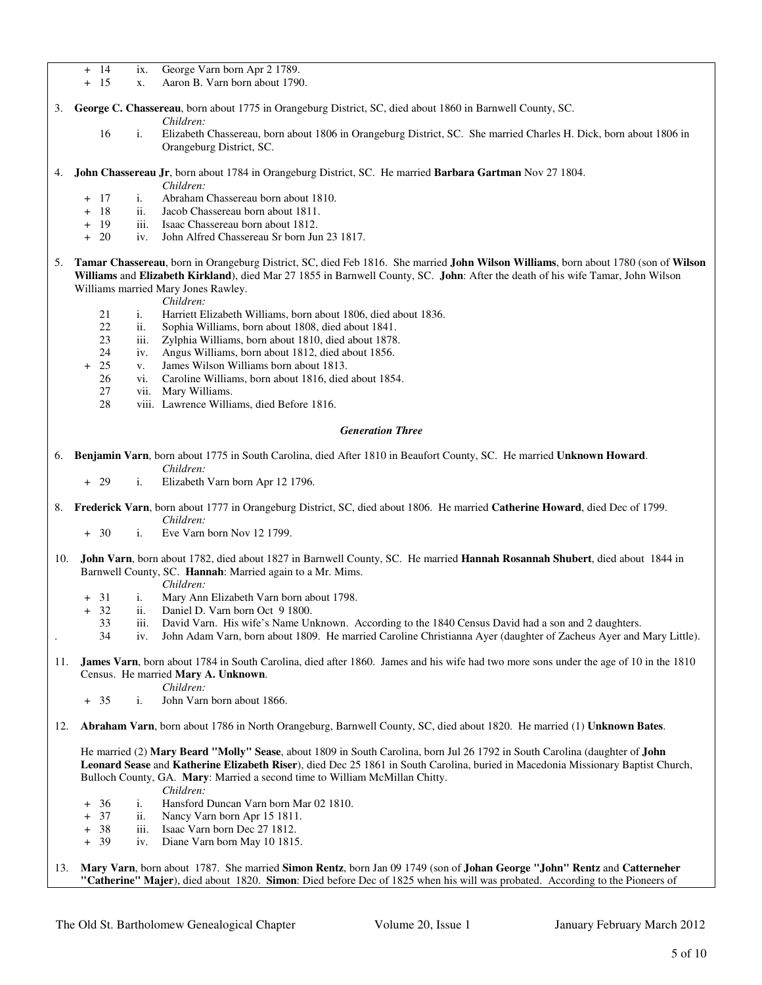- + 14 ix. George Varn born Apr 2 1789.
- + 15 x. Aaron B. Varn born about 1790.
- 3. **George C. Chassereau**, born about 1775 in Orangeburg District, SC, died about 1860 in Barnwell County, SC.
	- *Children:*
	- 16 i. Elizabeth Chassereau, born about 1806 in Orangeburg District, SC. She married Charles H. Dick, born about 1806 in Orangeburg District, SC.
- 4. **John Chassereau Jr**, born about 1784 in Orangeburg District, SC. He married **Barbara Gartman** Nov 27 1804.

*Children:*

- + 17 i. Abraham Chassereau born about 1810.
- + 18 ii. Jacob Chassereau born about 1811.<br>+ 19 iii. Isaac Chassereau born about 1812.
- + 19 iii. Isaac Chassereau born about 1812.
- + 20 iv. John Alfred Chassereau Sr born Jun 23 1817.
- 5. **Tamar Chassereau**, born in Orangeburg District, SC, died Feb 1816. She married **John Wilson Williams**, born about 1780 (son of **Wilson Williams** and **Elizabeth Kirkland**), died Mar 27 1855 in Barnwell County, SC. **John**: After the death of his wife Tamar, John Wilson Williams married Mary Jones Rawley.

*Children:*

- 21 i. Harriett Elizabeth Williams, born about 1806, died about 1836.
- 22 ii. Sophia Williams, born about 1808, died about 1841.<br>23 iii. Zylphia Williams, born about 1810, died about 1878.
- iii. Zylphia Williams, born about 1810, died about 1878.
- 24 iv. Angus Williams, born about 1812, died about 1856.<br>25 v. James Wilson Williams born about 1813.
- 
- + 25 v. James Wilson Williams born about 1813. vi. Caroline Williams, born about 1816, died about 1854.
	- 27 vii. Mary Williams.
	- 28 viii. Lawrence Williams, died Before 1816.

### *Generation Three*

- 6. **Benjamin Varn**, born about 1775 in South Carolina, died After 1810 in Beaufort County, SC. He married **Unknown Howard**. *Children:*
	- + 29 i. Elizabeth Varn born Apr 12 1796.
- 8. **Frederick Varn**, born about 1777 in Orangeburg District, SC, died about 1806. He married **Catherine Howard**, died Dec of 1799. *Children:*
	- + 30 i. Eve Varn born Nov 12 1799.
- 10. **John Varn**, born about 1782, died about 1827 in Barnwell County, SC. He married **Hannah Rosannah Shubert**, died about 1844 in Barnwell County, SC. **Hannah**: Married again to a Mr. Mims.
	- *Children:*
	- + 31 i. Mary Ann Elizabeth Varn born about 1798.
	- + 32 ii. Daniel D. Varn born Oct 9 1800.
		- 33 iii. David Varn. His wife's Name Unknown. According to the 1840 Census David had a son and 2 daughters.
	- . 34 iv. John Adam Varn, born about 1809. He married Caroline Christianna Ayer (daughter of Zacheus Ayer and Mary Little).
- 11. **James Varn**, born about 1784 in South Carolina, died after 1860. James and his wife had two more sons under the age of 10 in the 1810 Census. He married **Mary A. Unknown**.

*Children:*

- + 35 i. John Varn born about 1866.
- 12. **Abraham Varn**, born about 1786 in North Orangeburg, Barnwell County, SC, died about 1820. He married (1) **Unknown Bates**.

 He married (2) **Mary Beard "Molly" Sease**, about 1809 in South Carolina, born Jul 26 1792 in South Carolina (daughter of **John Leonard Sease** and **Katherine Elizabeth Riser**), died Dec 25 1861 in South Carolina, buried in Macedonia Missionary Baptist Church, Bulloch County, GA. **Mary**: Married a second time to William McMillan Chitty.

*Children:*

- + 36 i. Hansford Duncan Varn born Mar 02 1810.
- + 37 ii. Nancy Varn born Apr 15 1811.
- + 38 iii. Isaac Varn born Dec 27 1812.
- + 39 iv. Diane Varn born May 10 1815.
- 13. **Mary Varn**, born about 1787. She married **Simon Rentz**, born Jan 09 1749 (son of **Johan George "John" Rentz** and **Catterneher "Catherine" Majer**), died about 1820. **Simon**: Died before Dec of 1825 when his will was probated. According to the Pioneers of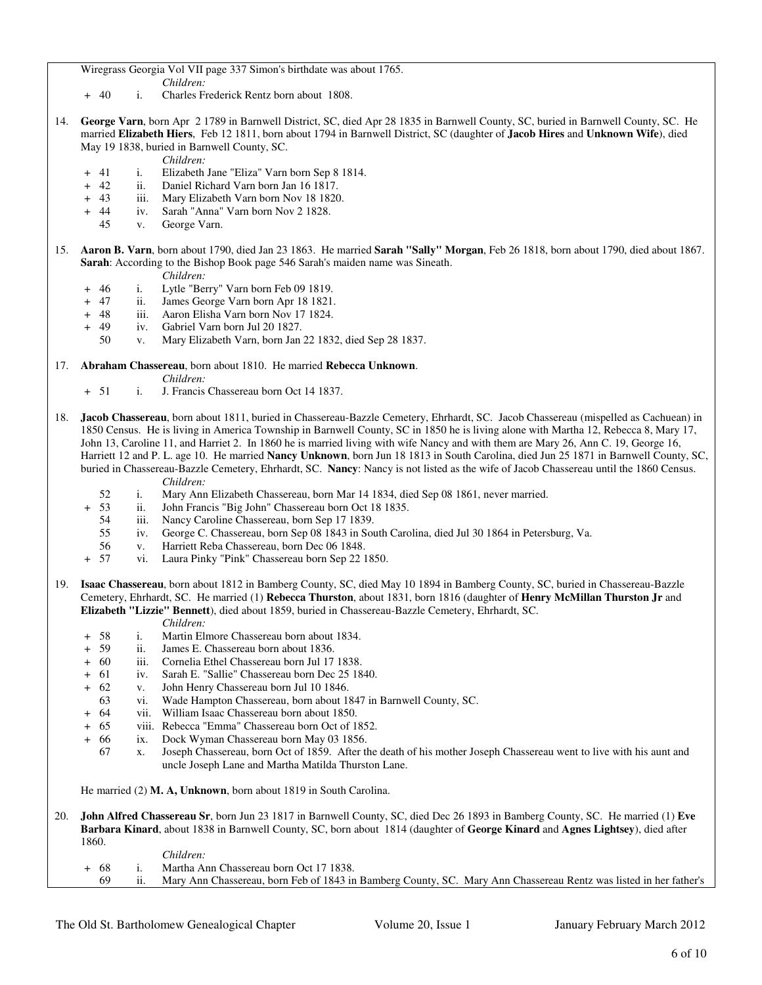Wiregrass Georgia Vol VII page 337 Simon's birthdate was about 1765.

- *Children:*
- + 40 i. Charles Frederick Rentz born about 1808.
- 14. **George Varn**, born Apr 2 1789 in Barnwell District, SC, died Apr 28 1835 in Barnwell County, SC, buried in Barnwell County, SC. He married **Elizabeth Hiers**, Feb 12 1811, born about 1794 in Barnwell District, SC (daughter of **Jacob Hires** and **Unknown Wife**), died May 19 1838, buried in Barnwell County, SC.
	- *Children:*
	- + 41 i. Elizabeth Jane "Eliza" Varn born Sep 8 1814.
	- + 42 ii. Daniel Richard Varn born Jan 16 1817.
	- + 43 iii. Mary Elizabeth Varn born Nov 18 1820.
	- + 44 iv. Sarah "Anna" Varn born Nov 2 1828.
		- v. George Varn.
- 15. **Aaron B. Varn**, born about 1790, died Jan 23 1863. He married **Sarah "Sally" Morgan**, Feb 26 1818, born about 1790, died about 1867. **Sarah**: According to the Bishop Book page 546 Sarah's maiden name was Sineath.
	- *Children:*
	- + 46 i. Lytle "Berry" Varn born Feb 09 1819.
	- + 47 ii. James George Varn born Apr 18 1821.
	- + 48 iii. Aaron Elisha Varn born Nov 17 1824.
	- + 49 iv. Gabriel Varn born Jul 20 1827.
		- 50 v. Mary Elizabeth Varn, born Jan 22 1832, died Sep 28 1837.

17. **Abraham Chassereau**, born about 1810. He married **Rebecca Unknown**.

- *Children:*
- + 51 i. J. Francis Chassereau born Oct 14 1837.
- 18. **Jacob Chassereau**, born about 1811, buried in Chassereau-Bazzle Cemetery, Ehrhardt, SC. Jacob Chassereau (mispelled as Cachuean) in 1850 Census. He is living in America Township in Barnwell County, SC in 1850 he is living alone with Martha 12, Rebecca 8, Mary 17, John 13, Caroline 11, and Harriet 2. In 1860 he is married living with wife Nancy and with them are Mary 26, Ann C. 19, George 16, Harriett 12 and P. L. age 10. He married **Nancy Unknown**, born Jun 18 1813 in South Carolina, died Jun 25 1871 in Barnwell County, SC, buried in Chassereau-Bazzle Cemetery, Ehrhardt, SC. **Nancy**: Nancy is not listed as the wife of Jacob Chassereau until the 1860 Census.
	- *Children:* 52 i. Mary Ann Elizabeth Chassereau, born Mar 14 1834, died Sep 08 1861, never married.
	- + 53 ii. John Francis "Big John" Chassereau born Oct 18 1835.
		- 54 iii. Nancy Caroline Chassereau, born Sep 17 1839.
		- 55 iv. George C. Chassereau, born Sep 08 1843 in South Carolina, died Jul 30 1864 in Petersburg, Va.
		- v. Harriett Reba Chassereau, born Dec 06 1848.
	- + 57 vi. Laura Pinky "Pink" Chassereau born Sep 22 1850.
- 19. **Isaac Chassereau**, born about 1812 in Bamberg County, SC, died May 10 1894 in Bamberg County, SC, buried in Chassereau-Bazzle Cemetery, Ehrhardt, SC. He married (1) **Rebecca Thurston**, about 1831, born 1816 (daughter of **Henry McMillan Thurston Jr** and **Elizabeth "Lizzie" Bennett**), died about 1859, buried in Chassereau-Bazzle Cemetery, Ehrhardt, SC.
	- *Children:* + 58 i. Martin Elmore Chassereau born about 1834.
	- + 59 ii. James E. Chassereau born about 1836.
	- + 60 iii. Cornelia Ethel Chassereau born Jul 17 1838.
	- + 61 iv. Sarah E. "Sallie" Chassereau born Dec 25 1840.
	- + 62 v. John Henry Chassereau born Jul 10 1846.
		- 63 vi. Wade Hampton Chassereau, born about 1847 in Barnwell County, SC.
	- + 64 vii. William Isaac Chassereau born about 1850.
	- + 65 viii. Rebecca "Emma" Chassereau born Oct of 1852.
	- + 66 ix. Dock Wyman Chassereau born May 03 1856.
		- 67 x. Joseph Chassereau, born Oct of 1859. After the death of his mother Joseph Chassereau went to live with his aunt and uncle Joseph Lane and Martha Matilda Thurston Lane.

He married (2) **M. A, Unknown**, born about 1819 in South Carolina.

20. **John Alfred Chassereau Sr**, born Jun 23 1817 in Barnwell County, SC, died Dec 26 1893 in Bamberg County, SC. He married (1) **Eve Barbara Kinard**, about 1838 in Barnwell County, SC, born about 1814 (daughter of **George Kinard** and **Agnes Lightsey**), died after 1860.

|       | Children:                                                                                                         |
|-------|-------------------------------------------------------------------------------------------------------------------|
| $-68$ | Martha Ann Chassereau born Oct 17 1838.                                                                           |
|       | Mary Ann Chassereau, born Feb of 1843 in Bamberg County, SC. Mary Ann Chassereau Rentz was listed in her father's |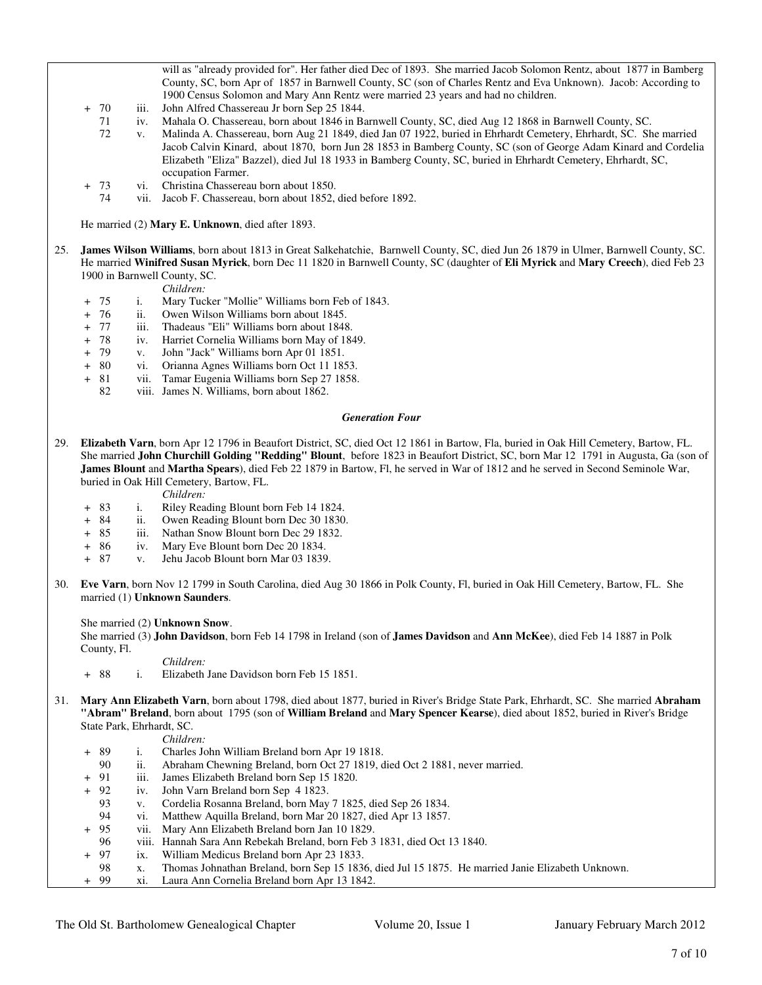will as "already provided for". Her father died Dec of 1893. She married Jacob Solomon Rentz, about 1877 in Bamberg County, SC, born Apr of 1857 in Barnwell County, SC (son of Charles Rentz and Eva Unknown). Jacob: According to 1900 Census Solomon and Mary Ann Rentz were married 23 years and had no children.

- + 70 iii. John Alfred Chassereau Jr born Sep 25 1844.
	- 71 iv. Mahala O. Chassereau, born about 1846 in Barnwell County, SC, died Aug 12 1868 in Barnwell County, SC.
	- 72 v. Malinda A. Chassereau, born Aug 21 1849, died Jan 07 1922, buried in Ehrhardt Cemetery, Ehrhardt, SC. She married Jacob Calvin Kinard, about 1870, born Jun 28 1853 in Bamberg County, SC (son of George Adam Kinard and Cordelia Elizabeth "Eliza" Bazzel), died Jul 18 1933 in Bamberg County, SC, buried in Ehrhardt Cemetery, Ehrhardt, SC, occupation Farmer.
	- 73 vi. Christina Chassereau born about 1850.
	- 74 vii. Jacob F. Chassereau, born about 1852, died before 1892.

He married (2) **Mary E. Unknown**, died after 1893.

25. **James Wilson Williams**, born about 1813 in Great Salkehatchie, Barnwell County, SC, died Jun 26 1879 in Ulmer, Barnwell County, SC. He married **Winifred Susan Myrick**, born Dec 11 1820 in Barnwell County, SC (daughter of **Eli Myrick** and **Mary Creech**), died Feb 23 1900 in Barnwell County, SC.

*Children:*

- + 75 i. Mary Tucker "Mollie" Williams born Feb of 1843.
- + 76 ii. Owen Wilson Williams born about 1845.
- + 77 iii. Thadeaus "Eli" Williams born about 1848.
- + 78 iv. Harriet Cornelia Williams born May of 1849.<br>+ 79 v. John "Jack" Williams born Apr 01 1851.
- v. John "Jack" Williams born Apr 01 1851.
- + 80 vi. Orianna Agnes Williams born Oct 11 1853.
- + 81 vii. Tamar Eugenia Williams born Sep 27 1858.
	- 82 viii. James N. Williams, born about 1862.

### *Generation Four*

29. **Elizabeth Varn**, born Apr 12 1796 in Beaufort District, SC, died Oct 12 1861 in Bartow, Fla, buried in Oak Hill Cemetery, Bartow, FL. She married **John Churchill Golding "Redding" Blount**, before 1823 in Beaufort District, SC, born Mar 12 1791 in Augusta, Ga (son of **James Blount** and **Martha Spears**), died Feb 22 1879 in Bartow, Fl, he served in War of 1812 and he served in Second Seminole War, buried in Oak Hill Cemetery, Bartow, FL.

*Children:*

- + 83 i. Riley Reading Blount born Feb 14 1824.
- + 84 ii. Owen Reading Blount born Dec 30 1830.
- + 85 iii. Nathan Snow Blount born Dec 29 1832.<br>+ 86 iv. Mary Eve Blount born Dec 20 1834.
- iv. Mary Eve Blount born Dec 20 1834.
- + 87 v. Jehu Jacob Blount born Mar 03 1839.
- 30. **Eve Varn**, born Nov 12 1799 in South Carolina, died Aug 30 1866 in Polk County, Fl, buried in Oak Hill Cemetery, Bartow, FL. She married (1) **Unknown Saunders**.

She married (2) **Unknown Snow**.

 She married (3) **John Davidson**, born Feb 14 1798 in Ireland (son of **James Davidson** and **Ann McKee**), died Feb 14 1887 in Polk County, Fl.

- *Children:*
- + 88 i. Elizabeth Jane Davidson born Feb 15 1851.
- 31. **Mary Ann Elizabeth Varn**, born about 1798, died about 1877, buried in River's Bridge State Park, Ehrhardt, SC. She married **Abraham "Abram" Breland**, born about 1795 (son of **William Breland** and **Mary Spencer Kearse**), died about 1852, buried in River's Bridge State Park, Ehrhardt, SC.

- *Children:*<br>89 i. Charles Jo + 89 i. Charles John William Breland born Apr 19 1818.
	- 90 ii. Abraham Chewning Breland, born Oct 27 1819, died Oct 2 1881, never married.
- + 91 iii. James Elizabeth Breland born Sep 15 1820.
- + 92 iv. John Varn Breland born Sep 4 1823.
	- 93 v. Cordelia Rosanna Breland, born May 7 1825, died Sep 26 1834.
	- vi. Matthew Aquilla Breland, born Mar 20 1827, died Apr 13 1857.
- + 95 vii. Mary Ann Elizabeth Breland born Jan 10 1829.
- 96 viii. Hannah Sara Ann Rebekah Breland, born Feb 3 1831, died Oct 13 1840.
- + 97 ix. William Medicus Breland born Apr 23 1833.
- 98 x. Thomas Johnathan Breland, born Sep 15 1836, died Jul 15 1875. He married Janie Elizabeth Unknown.
- + 99 xi. Laura Ann Cornelia Breland born Apr 13 1842.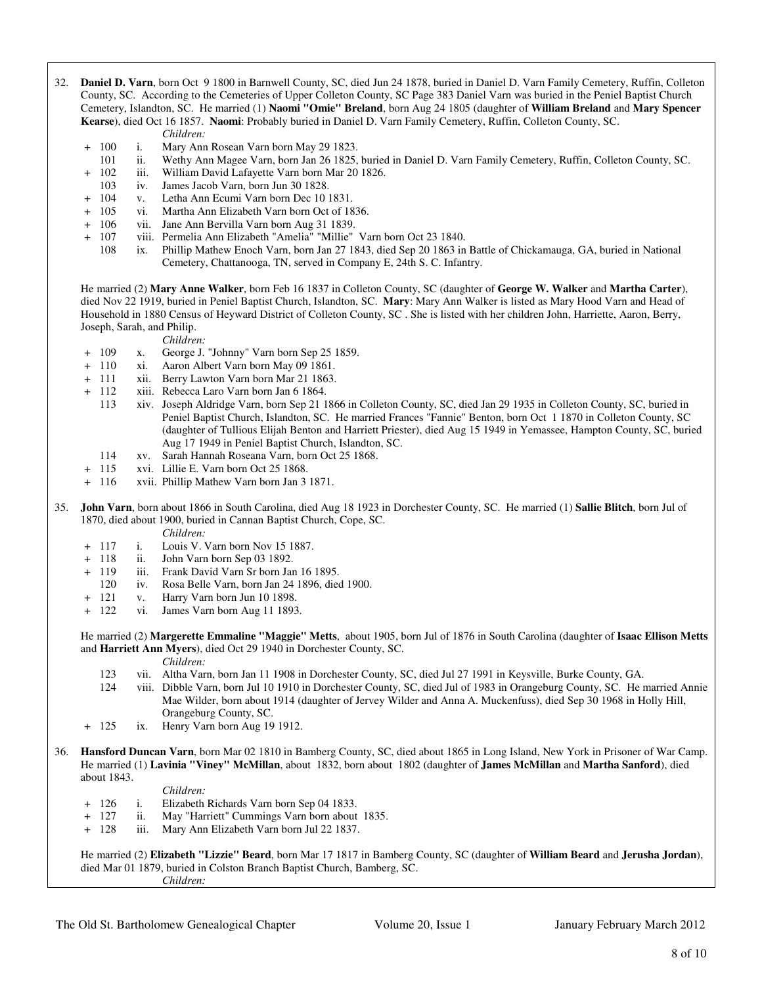- 32. **Daniel D. Varn**, born Oct 9 1800 in Barnwell County, SC, died Jun 24 1878, buried in Daniel D. Varn Family Cemetery, Ruffin, Colleton County, SC. According to the Cemeteries of Upper Colleton County, SC Page 383 Daniel Varn was buried in the Peniel Baptist Church Cemetery, Islandton, SC. He married (1) **Naomi "Omie" Breland**, born Aug 24 1805 (daughter of **William Breland** and **Mary Spencer Kearse**), died Oct 16 1857. **Naomi**: Probably buried in Daniel D. Varn Family Cemetery, Ruffin, Colleton County, SC.
	- *Children:*
	- + 100 i. Mary Ann Rosean Varn born May 29 1823.
	- 101 ii. Wethy Ann Magee Varn, born Jan 26 1825, buried in Daniel D. Varn Family Cemetery, Ruffin, Colleton County, SC.
	- + 102 iii. William David Lafayette Varn born Mar 20 1826.
	- 103 iv. James Jacob Varn, born Jun 30 1828.
	- + 104 v. Letha Ann Ecumi Varn born Dec 10 1831.
	- + 105 vi. Martha Ann Elizabeth Varn born Oct of 1836.<br>+ 106 vii. Jane Ann Bervilla Varn born Aug 31 1839.
	- + 106 vii. Jane Ann Bervilla Varn born Aug 31 1839.
	- + 107 viii. Permelia Ann Elizabeth "Amelia" "Millie" Varn born Oct 23 1840.
		- 108 ix. Phillip Mathew Enoch Varn, born Jan 27 1843, died Sep 20 1863 in Battle of Chickamauga, GA, buried in National Cemetery, Chattanooga, TN, served in Company E, 24th S. C. Infantry.

 He married (2) **Mary Anne Walker**, born Feb 16 1837 in Colleton County, SC (daughter of **George W. Walker** and **Martha Carter**), died Nov 22 1919, buried in Peniel Baptist Church, Islandton, SC. **Mary**: Mary Ann Walker is listed as Mary Hood Varn and Head of Household in 1880 Census of Heyward District of Colleton County, SC . She is listed with her children John, Harriette, Aaron, Berry, Joseph, Sarah, and Philip.

*Children:*

- + 109 x. George J. "Johnny" Varn born Sep 25 1859.
- + 110 xi. Aaron Albert Varn born May 09 1861.
- + 111 xii. Berry Lawton Varn born Mar 21 1863.
- + 112 xiii. Rebecca Laro Varn born Jan 6 1864.
	- 113 xiv. Joseph Aldridge Varn, born Sep 21 1866 in Colleton County, SC, died Jan 29 1935 in Colleton County, SC, buried in Peniel Baptist Church, Islandton, SC. He married Frances "Fannie" Benton, born Oct 1 1870 in Colleton County, SC (daughter of Tullious Elijah Benton and Harriett Priester), died Aug 15 1949 in Yemassee, Hampton County, SC, buried Aug 17 1949 in Peniel Baptist Church, Islandton, SC.
	- 114 xv. Sarah Hannah Roseana Varn, born Oct 25 1868.
- + 115 xvi. Lillie E. Varn born Oct 25 1868.
- + 116 xvii. Phillip Mathew Varn born Jan 3 1871.
- 35. **John Varn**, born about 1866 in South Carolina, died Aug 18 1923 in Dorchester County, SC. He married (1) **Sallie Blitch**, born Jul of 1870, died about 1900, buried in Cannan Baptist Church, Cope, SC.
	-
	- *Children:*<br>+ 117 i. Louis V.  $+ 117$  i. Louis V. Varn born Nov 15 1887.<br> $+ 118$  ii. John Varn born Sep 03 1892.
	- ii. John Varn born Sep 03 1892.
	- + 119 iii. Frank David Varn Sr born Jan 16 1895.
		- 120 iv. Rosa Belle Varn, born Jan 24 1896, died 1900.
	- + 121 v. Harry Varn born Jun 10 1898.
	- + 122 vi. James Varn born Aug 11 1893.

 He married (2) **Margerette Emmaline "Maggie" Metts**, about 1905, born Jul of 1876 in South Carolina (daughter of **Isaac Ellison Metts** and **Harriett Ann Myers**), died Oct 29 1940 in Dorchester County, SC.

*Children:*

- 123 vii. Altha Varn, born Jan 11 1908 in Dorchester County, SC, died Jul 27 1991 in Keysville, Burke County, GA.
- 124 viii. Dibble Varn, born Jul 10 1910 in Dorchester County, SC, died Jul of 1983 in Orangeburg County, SC. He married Annie Mae Wilder, born about 1914 (daughter of Jervey Wilder and Anna A. Muckenfuss), died Sep 30 1968 in Holly Hill, Orangeburg County, SC.
- + 125 ix. Henry Varn born Aug 19 1912.
- 36. **Hansford Duncan Varn**, born Mar 02 1810 in Bamberg County, SC, died about 1865 in Long Island, New York in Prisoner of War Camp. He married (1) **Lavinia "Viney" McMillan**, about 1832, born about 1802 (daughter of **James McMillan** and **Martha Sanford**), died about 1843.

### *Children:*

- + 126 i. Elizabeth Richards Varn born Sep 04 1833.
- + 127 ii. May "Harriett" Cummings Varn born about 1835.
- + 128 iii. Mary Ann Elizabeth Varn born Jul 22 1837.

 He married (2) **Elizabeth "Lizzie" Beard**, born Mar 17 1817 in Bamberg County, SC (daughter of **William Beard** and **Jerusha Jordan**), died Mar 01 1879, buried in Colston Branch Baptist Church, Bamberg, SC. *Children:*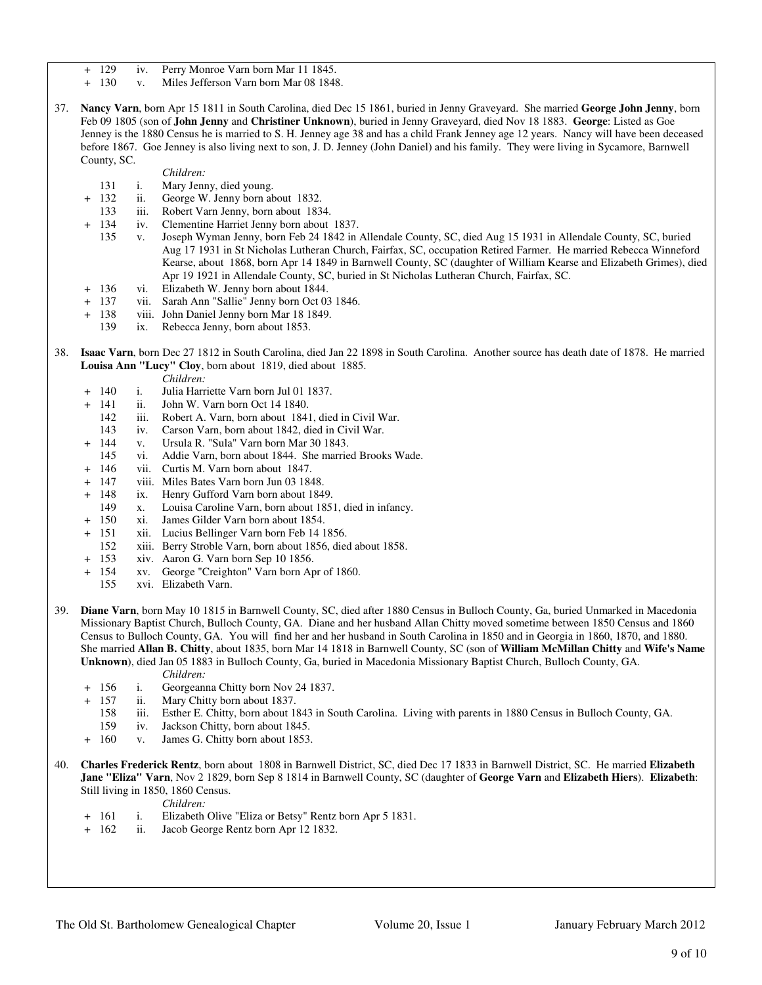- + 129 iv. Perry Monroe Varn born Mar 11 1845.
- + 130 v. Miles Jefferson Varn born Mar 08 1848.
- 37. **Nancy Varn**, born Apr 15 1811 in South Carolina, died Dec 15 1861, buried in Jenny Graveyard. She married **George John Jenny**, born Feb 09 1805 (son of **John Jenny** and **Christiner Unknown**), buried in Jenny Graveyard, died Nov 18 1883. **George**: Listed as Goe Jenney is the 1880 Census he is married to S. H. Jenney age 38 and has a child Frank Jenney age 12 years. Nancy will have been deceased before 1867. Goe Jenney is also living next to son, J. D. Jenney (John Daniel) and his family. They were living in Sycamore, Barnwell County, SC.

*Children:*

- 131 i. Mary Jenny, died young.
- 132 ii. George W. Jenny born about 1832.
- 133 iii. Robert Varn Jenny, born about 1834.<br>134 iv. Clementine Harriet Jenny born about
- + 134 iv. Clementine Harriet Jenny born about 1837.
	- 135 v. Joseph Wyman Jenny, born Feb 24 1842 in Allendale County, SC, died Aug 15 1931 in Allendale County, SC, buried Aug 17 1931 in St Nicholas Lutheran Church, Fairfax, SC, occupation Retired Farmer. He married Rebecca Winneford Kearse, about 1868, born Apr 14 1849 in Barnwell County, SC (daughter of William Kearse and Elizabeth Grimes), died Apr 19 1921 in Allendale County, SC, buried in St Nicholas Lutheran Church, Fairfax, SC.
- + 136 vi. Elizabeth W. Jenny born about 1844.
- 137 vii. Sarah Ann "Sallie" Jenny born Oct 03 1846.
- + 138 viii. John Daniel Jenny born Mar 18 1849.
	- 139 ix. Rebecca Jenny, born about 1853.
- 38. **Isaac Varn**, born Dec 27 1812 in South Carolina, died Jan 22 1898 in South Carolina. Another source has death date of 1878. He married **Louisa Ann "Lucy" Cloy**, born about 1819, died about 1885.
	- *Children:*
	- + 140 i. Julia Harriette Varn born Jul 01 1837.
	- + 141 ii. John W. Varn born Oct 14 1840.
		-
		- 142 iii. Robert A. Varn, born about 1841, died in Civil War.<br>143 iv. Carson Varn, born about 1842, died in Civil War. 143 iv. Carson Varn, born about 1842, died in Civil War.
		- + 144 v. Ursula R. "Sula" Varn born Mar 30 1843.
		- 145 vi. Addie Varn, born about 1844. She married Brooks Wade.
	- + 146 vii. Curtis M. Varn born about 1847.
	- + 147 viii. Miles Bates Varn born Jun 03 1848.
	- + 148 ix. Henry Gufford Varn born about 1849.
		- 149 x. Louisa Caroline Varn, born about 1851, died in infancy.
	- + 150 xi. James Gilder Varn born about 1854.
	- 151 xii. Lucius Bellinger Varn born Feb 14 1856.<br>152 xiii. Berry Stroble Varn, born about 1856, die
	- xiii. Berry Stroble Varn, born about 1856, died about 1858.
	- + 153 xiv. Aaron G. Varn born Sep 10 1856.
	- + 154 xv. George "Creighton" Varn born Apr of 1860.
		- 155 xvi. Elizabeth Varn.
- 39. **Diane Varn**, born May 10 1815 in Barnwell County, SC, died after 1880 Census in Bulloch County, Ga, buried Unmarked in Macedonia Missionary Baptist Church, Bulloch County, GA. Diane and her husband Allan Chitty moved sometime between 1850 Census and 1860 Census to Bulloch County, GA. You will find her and her husband in South Carolina in 1850 and in Georgia in 1860, 1870, and 1880. She married **Allan B. Chitty**, about 1835, born Mar 14 1818 in Barnwell County, SC (son of **William McMillan Chitty** and **Wife's Name Unknown**), died Jan 05 1883 in Bulloch County, Ga, buried in Macedonia Missionary Baptist Church, Bulloch County, GA.

*Children:*

- + 156 i. Georgeanna Chitty born Nov 24 1837.
- + 157 ii. Mary Chitty born about 1837.
	- 158 iii. Esther E. Chitty, born about 1843 in South Carolina. Living with parents in 1880 Census in Bulloch County, GA.
	- 159 iv. Jackson Chitty, born about 1845.
- + 160 v. James G. Chitty born about 1853.
- 40. **Charles Frederick Rentz**, born about 1808 in Barnwell District, SC, died Dec 17 1833 in Barnwell District, SC. He married **Elizabeth Jane "Eliza" Varn**, Nov 2 1829, born Sep 8 1814 in Barnwell County, SC (daughter of **George Varn** and **Elizabeth Hiers**). **Elizabeth**: Still living in 1850, 1860 Census.

*Children:*

- + 161 i. Elizabeth Olive "Eliza or Betsy" Rentz born Apr 5 1831.
- + 162 ii. Jacob George Rentz born Apr 12 1832.